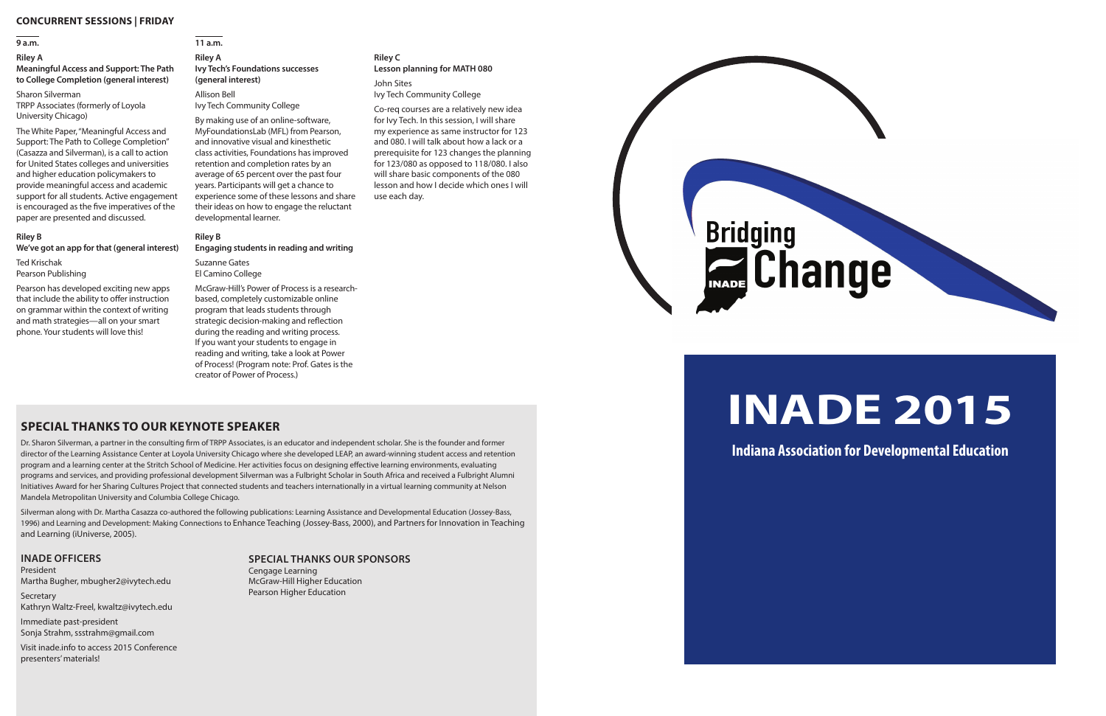#### **CONCURRENT SESSIONS | FRIDAY**

#### **9 a.m.**

#### **Riley A**

#### **Meaningful Access and Support: The Path to College Completion (general interest)**

Sharon Silverman TRPP Associates (formerly of Loyola University Chicago)

The White Paper, "Meaningful Access and Support: The Path to College Completion" (Casazza and Silverman), is a call to action for United States colleges and universities and higher education policymakers to provide meaningful access and academic support for all students. Active engagement is encouraged as the five imperatives of the paper are presented and discussed.

#### **Riley B**

#### **We've got an app for that (general interest)**

Ted Krischak Pearson Publishing

Pearson has developed exciting new apps that include the ability to offer instruction on grammar within the context of writing and math strategies—all on your smart phone. Your students will love this!

### **11 a.m.**

#### **Riley A Ivy Tech's Foundations successes (general interest)**

Allison Bell Ivy Tech Community College

By making use of an online-software, MyFoundationsLab (MFL) from Pearson, and innovative visual and kinesthetic class activities, Foundations has improved retention and completion rates by an average of 65 percent over the past four years. Participants will get a chance to experience some of these lessons and share their ideas on how to engage the reluctant developmental learner.

#### **Riley B**

#### **Engaging students in reading and writing**

Suzanne Gates El Camino College

McGraw-Hill's Power of Process is a researchbased, completely customizable online program that leads students through strategic decision-making and reflection during the reading and writing process. If you want your students to engage in reading and writing, take a look at Power of Process! (Program note: Prof. Gates is the creator of Power of Process.)

**Secretary** Kathryn Waltz-Freel, kwaltz@ivytech.edu

#### **Riley C Lesson planning for MATH 080**

John Sites Ivy Tech Community College

Co-req courses are a relatively new idea for Ivy Tech. In this session, I will share my experience as same instructor for 123 and 080. I will talk about how a lack or a prerequisite for 123 changes the planning for 123/080 as opposed to 118/080. I also will share basic components of the 080 lesson and how I decide which ones I will use each day.



# **INADE 2015**

**Indiana Association for Developmental Education**

#### **SPECIAL THANKS OUR SPONSORS**

Cengage Learning McGraw-Hill Higher Education Pearson Higher Education

### **SPECIAL THANKS TO OUR KEYNOTE SPEAKER**

Dr. Sharon Silverman, a partner in the consulting firm of TRPP Associates, is an educator and independent scholar. She is the founder and former director of the Learning Assistance Center at Loyola University Chicago where she developed LEAP, an award-winning student access and retention program and a learning center at the Stritch School of Medicine. Her activities focus on designing effective learning environments, evaluating programs and services, and providing professional development Silverman was a Fulbright Scholar in South Africa and received a Fulbright Alumni Initiatives Award for her Sharing Cultures Project that connected students and teachers internationally in a virtual learning community at Nelson Mandela Metropolitan University and Columbia College Chicago.

Silverman along with Dr. Martha Casazza co-authored the following publications: Learning Assistance and Developmental Education (Jossey-Bass, 1996) and Learning and Development: Making Connections to Enhance Teaching (Jossey-Bass, 2000), and Partners for Innovation in Teaching and Learning (iUniverse, 2005).

#### **INADE OFFICERS**

President Martha Bugher, mbugher2@ivytech.edu

Immediate past-president Sonja Strahm, ssstrahm@gmail.com

Visit inade.info to access 2015 Conference presenters' materials!